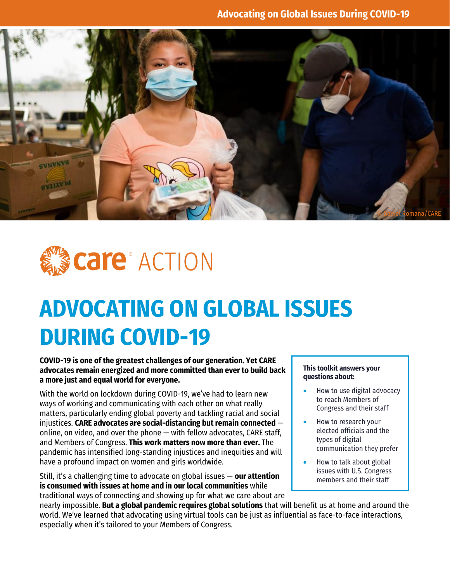



# **ADVOCATING ON GLOBAL ISSUES DURING COVID-19**

#### **COVID-19 is one of the greatest challenges of our generation. Yet CARE advocates remain energized and more committed than ever to build back a more just and equal world for everyone.**

With the world on lockdown during COVID-19, we've had to learn new ways of working and communicating with each other on what really matters, particularly ending global poverty and tackling racial and social injustices. **CARE advocates are social-distancing but remain connected** online, on video, and over the phone — with fellow advocates, CARE staff, and Members of Congress. **This work matters now more than ever.** The pandemic has intensified long-standing injustices and inequities and will have a profound impact on women and girls worldwide.

Still, it's a challenging time to advocate on global issues — **our attention is consumed with issues at home and in our local communities** while traditional ways of connecting and showing up for what we care about are

#### **This toolkit answers your questions about:**

- How to use digital advocacy to reach Members of Congress and their staff
- How to research your elected officials and the types of digital communication they prefer
- How to talk about global issues with U.S. Congress members and their staff

nearly impossible. **But a global pandemic requires global solutions** that will benefit us at home and around the world. We've learned that advocating using virtual tools can be just as influential as face-to-face interactions, especially when it's tailored to your Members of Congress.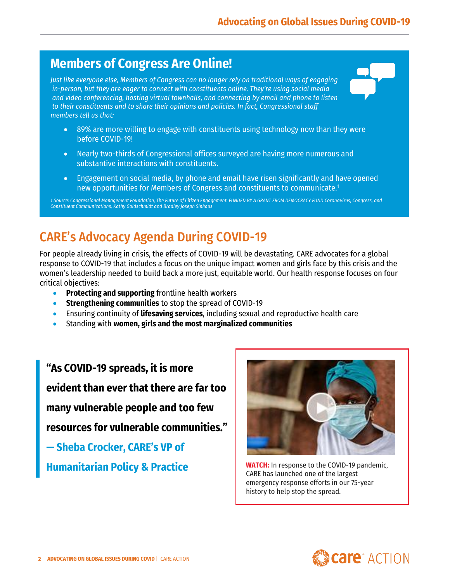### **Members of Congress Are Online!**

*Just like everyone else, Members of Congress can no longer rely on traditional ways of engaging in-person, but they are eager to connect with constituents online. They're using social media and video conferencing, hosting virtual townhalls, and connecting by email and phone to listen to their constituents and to share their opinions and policies. In fact, Congressional staff members tell us that:*

- 89% are more willing to engage with constituents using technology now than they were before COVID-19!
- Nearly two-thirds of Congressional offices surveyed are having more numerous and substantive interactions with constituents.
- Engagement on social media, by phone and email have risen significantly and have opened new opportunities for Members of Congress and constituents to communicate.<sup>1</sup>

*1 Source: Congressional Management Foundation, The Future of Citizen Engagement: FUNDED BY A GRANT FROM DEMOCRACY FUND Coronavirus, Congress, and Constituent Communications, Kathy Goldschmidt and Bradley Joseph Sinkaus*

### CARE's Advocacy Agenda During COVID-19

For people already living in crisis, the effects of COVID-19 will be devastating. CARE advocates for a global response to COVID-19 that includes a focus on the unique impact women and girls face by this crisis and the women's leadership needed to build back a more just, equitable world. Our health response focuses on four critical objectives:

- **Protecting and supporting** frontline health workers
- **Strengthening communities** to stop the spread of COVID-19
- Ensuring continuity of **lifesaving services**, including sexual and reproductive health care
- Standing with **women, girls and the most marginalized communities**

**"As COVID-19 spreads, it is more evident than ever that there are far too many vulnerable people and too few resources for vulnerable communities."** 

**— Sheba Crocker, CARE's VP of** 

**Humanitarian Policy & Practice**



**[WATCH:](https://www.facebook.com/watch/?v=456141555301285)** In response to the COVID-19 pandemic, CARE has launched one of the largest emergency response efforts in our 75-year history to help stop the spread.

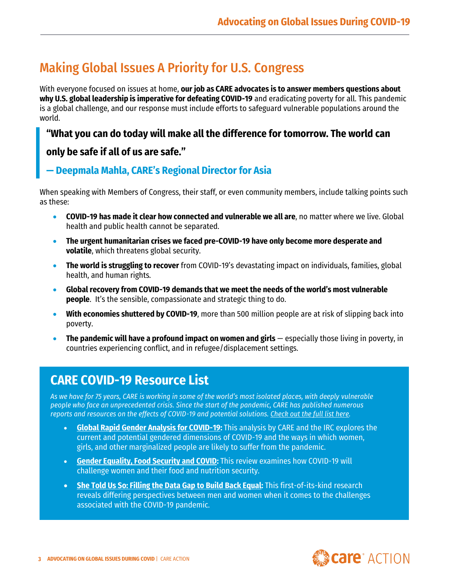### Making Global Issues A Priority for U.S. Congress

With everyone focused on issues at home, **our job as CARE advocates is to answer members questions about why U.S. global leadership is imperative for defeating COVID-19** and eradicating poverty for all. This pandemic is a global challenge, and our response must include efforts to safeguard vulnerable populations around the world.

#### **"What you can do today will make all the difference for tomorrow. The world can**

### **only be safe if all of us are safe."**

### **— Deepmala Mahla, CARE's Regional Director for Asia**

When speaking with Members of Congress, their staff, or even community members, include talking points such as these:

- **COVID-19 has made it clear how connected and vulnerable we all are**, no matter where we live. Global health and public health cannot be separated.
- **The urgent humanitarian crises we faced pre-COVID-19 have only become more desperate and volatile**, which threatens global security.
- **The world is struggling to recover** from COVID-19's devastating impact on individuals, families, global health, and human rights.
- **Global recovery from COVID-19 demands that we meet the needs of the world's most vulnerable people**. It's the sensible, compassionate and strategic thing to do.
- **With economies shuttered by COVID-19**, more than 500 million people are at risk of slipping back into poverty.
- **The pandemic will have a profound impact on women and girls** especially those living in poverty, in countries experiencing conflict, and in refugee/displacement settings.

### **CARE COVID-19 Resource List**

*As we have for 75 years, CARE is working in some of the world's most isolated places, with deeply vulnerable people who face an unprecedented crisis. Since the start of the pandemic, CARE has published numerous reports and resources on the effects of COVID-19 and potential solutions. [Check out the full list here.](https://care.org/our-work/disaster-response/emergencies/covid-19/covid-19-resources-list/)*

- **[Global Rapid Gender Analysis for COVID-19:](https://care.org/wp-content/uploads/2020/06/global_rga_covid_rdm_3.31.20_final.pdf)** This analysis by CARE and the IRC explores the current and potential gendered dimensions of COVID-19 and the ways in which women, girls, and other marginalized people are likely to suffer from the pandemic.
- **[Gender Equality, Food Security and COVID:](https://care.org/wp-content/uploads/2020/07/covid_food_security_and_gender_equality.pdf)** This review examines how COVID-19 will challenge women and their food and nutrition security.
- **[She Told Us So: Filling the Data Gap to Build Back Equal:](https://care.org/wp-content/uploads/2020/09/RGA_SheToldUsSo_9.18.20.pdf)** This first-of-its-kind research reveals differing perspectives between men and women when it comes to the challenges associated with the COVID-19 pandemic.



•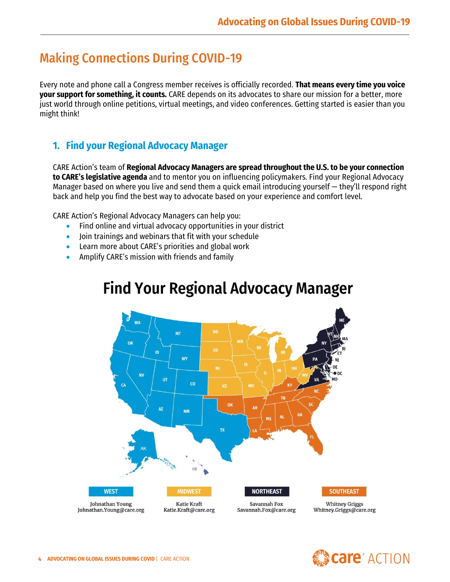### Making Connections During COVID-19

Every note and phone call a Congress member receives is officially recorded. **That means every time you voice your support for something, it counts.** CARE depends on its advocates to share our mission for a better, more just world through online petitions, virtual meetings, and video conferences. Getting started is easier than you might think!

### **1. Find your Regional Advocacy Manager**

CARE Action's team of **Regional Advocacy Managers are spread throughout the U.S. to be your connection to CARE's legislative agenda** and to mentor you on influencing policymakers. Find your Regional Advocacy Manager based on where you live and send them a quick email introducing yourself — they'll respond right back and help you find the best way to advocate based on your experience and comfort level.

CARE Action's Regional Advocacy Managers can help you:

- Find online and virtual advocacy opportunities in your district
- Join trainings and webinars that fit with your schedule
- Learn more about CARE's priorities and global work
- Amplify CARE's mission with friends and family

## **Find Your Regional Advocacy Manager**



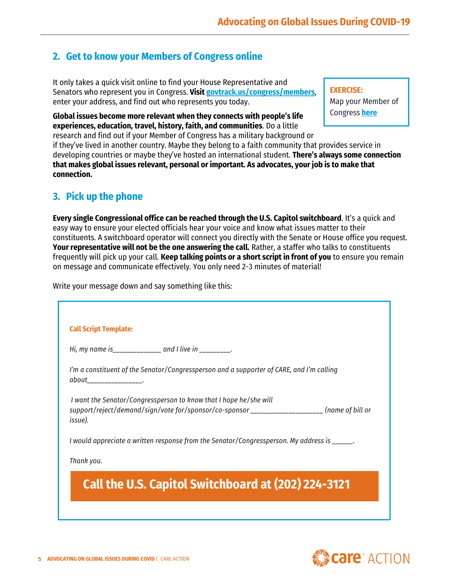### **2. Get to know your Members of Congress online**

It only takes a quick visit online to find your House Representative and Senators who represent you in Congress. **Visi[t govtrack.us/congress/members](https://www.govtrack.us/congress/members)**, enter your address, and find out who represents you today.

**Global issues become more relevant when they connects with people's life experiences, education, travel, history, faith, and communities**. Do a little

**EXERCISE:**  Map your Member of Congress **[here](https://care.org/wp-content/uploads/2021/01/CARE-Action-Mapping-Your-Member-of-Congress-FY21.pdf)**

research and find out if your Member of Congress has a military background or if they've lived in another country. Maybe they belong to a faith community that provides service in developing countries or maybe they've hosted an international student. **There's always some connection that makes global issues relevant, personal or important. As advocates, your job is to make that connection.**

### **3. Pick up the phone**

**Every single Congressional office can be reached through the U.S. Capitol switchboard**. It's a quick and easy way to ensure your elected officials hear your voice and know what issues matter to their constituents. A switchboard operator will connect you directly with the Senate or House office you request. **Your representative will not be the one answering the call.** Rather, a staffer who talks to constituents frequently will pick up your call. **Keep talking points or a short script in front of you** to ensure you remain on message and communicate effectively. You only need 2-3 minutes of material!

Write your message down and say something like this:

|                        | Hi, my name is______________ and I live in ________.                                         |  |
|------------------------|----------------------------------------------------------------------------------------------|--|
|                        | I'm a constituent of the Senator/Congressperson and a supporter of CARE, and I'm calling     |  |
| about________________. |                                                                                              |  |
|                        | I want the Senator/Congressperson to know that I hope he/she will                            |  |
| issue).                | support/reject/demand/sign/vote for/sponsor/co-sponsor __________________(name of bill or    |  |
|                        | I would appreciate a written response from the Senator/Congressperson. My address is ______. |  |
| Thank you.             |                                                                                              |  |
|                        |                                                                                              |  |
|                        | <b>Call the U.S. Capitol Switchboard at (202) 224-3121</b>                                   |  |